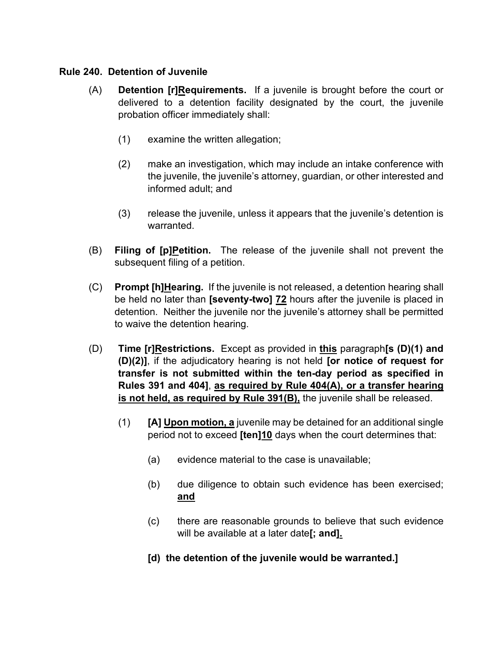### **Rule 240. Detention of Juvenile**

- (A) **Detention [r]Requirements.** If a juvenile is brought before the court or delivered to a detention facility designated by the court, the juvenile probation officer immediately shall:
	- (1) examine the written allegation;
	- (2) make an investigation, which may include an intake conference with the juvenile, the juvenile's attorney, guardian, or other interested and informed adult; and
	- (3) release the juvenile, unless it appears that the juvenile's detention is warranted.
- (B) **Filing of [p]Petition.** The release of the juvenile shall not prevent the subsequent filing of a petition.
- (C) **Prompt [h]Hearing.** If the juvenile is not released, a detention hearing shall be held no later than **[seventy-two] 72** hours after the juvenile is placed in detention. Neither the juvenile nor the juvenile's attorney shall be permitted to waive the detention hearing.
- (D) **Time [r]Restrictions.** Except as provided in **this** paragraph**[s (D)(1) and (D)(2)]**, if the adjudicatory hearing is not held **[or notice of request for transfer is not submitted within the ten-day period as specified in Rules 391 and 404]**, **as required by Rule 404(A), or a transfer hearing**  is not held, as required by Rule 391(B), the juvenile shall be released.
	- (1) **[A] Upon motion, a** juvenile may be detained for an additional single period not to exceed **[ten]10** days when the court determines that:
		- (a) evidence material to the case is unavailable;
		- (b) due diligence to obtain such evidence has been exercised; **and**
		- (c) there are reasonable grounds to believe that such evidence will be available at a later date**[; and].**
		- **[d) the detention of the juvenile would be warranted.]**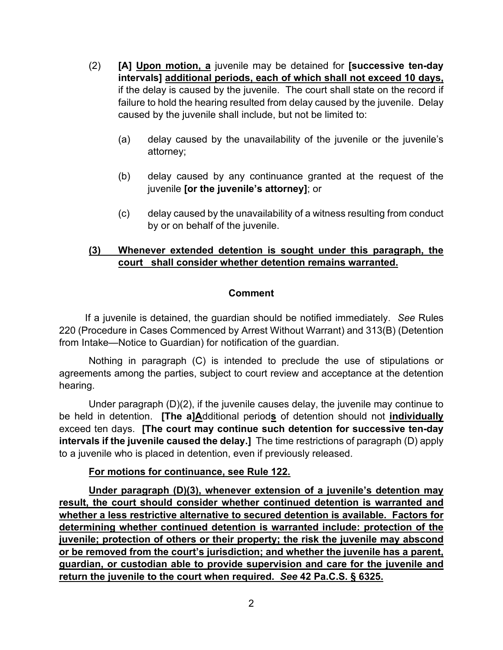- (2) **[A] Upon motion, a** juvenile may be detained for **[successive ten-day intervals] additional periods, each of which shall not exceed 10 days,** if the delay is caused by the juvenile. The court shall state on the record if failure to hold the hearing resulted from delay caused by the juvenile. Delay caused by the juvenile shall include, but not be limited to:
	- (a) delay caused by the unavailability of the juvenile or the juvenile's attorney;
	- (b) delay caused by any continuance granted at the request of the juvenile **[or the juvenile's attorney]**; or
	- (c) delay caused by the unavailability of a witness resulting from conduct by or on behalf of the juvenile.

## **(3) Whenever extended detention is sought under this paragraph, the court shall consider whether detention remains warranted.**

### **Comment**

 If a juvenile is detained, the guardian should be notified immediately. *See* Rules 220 (Procedure in Cases Commenced by Arrest Without Warrant) and 313(B) (Detention from Intake—Notice to Guardian) for notification of the guardian.

 Nothing in paragraph (C) is intended to preclude the use of stipulations or agreements among the parties, subject to court review and acceptance at the detention hearing.

 Under paragraph (D)(2), if the juvenile causes delay, the juvenile may continue to be held in detention. **[The a]A**dditional period**s** of detention should not **individually** exceed ten days. **[The court may continue such detention for successive ten-day intervals if the juvenile caused the delay.]** The time restrictions of paragraph (D) apply to a juvenile who is placed in detention, even if previously released.

### **For motions for continuance, see Rule 122.**

 **Under paragraph (D)(3), whenever extension of a juvenile's detention may result, the court should consider whether continued detention is warranted and whether a less restrictive alternative to secured detention is available. Factors for determining whether continued detention is warranted include: protection of the juvenile; protection of others or their property; the risk the juvenile may abscond or be removed from the court's jurisdiction; and whether the juvenile has a parent, guardian, or custodian able to provide supervision and care for the juvenile and return the juvenile to the court when required.** *See* **42 Pa.C.S. § 6325.**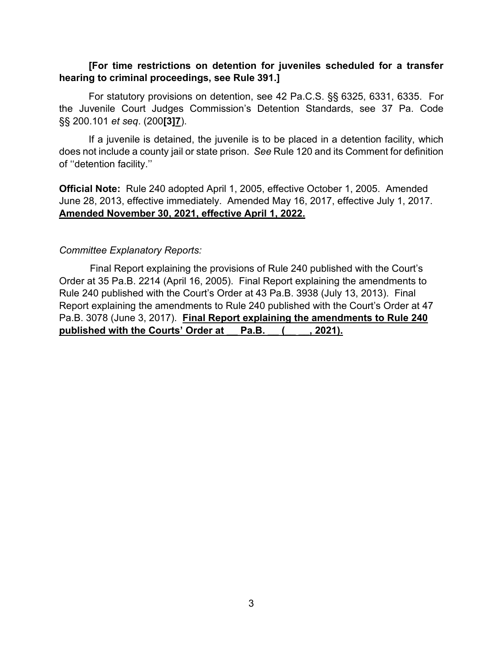### **[For time restrictions on detention for juveniles scheduled for a transfer hearing to criminal proceedings, see Rule 391.]**

 For statutory provisions on detention, see 42 Pa.C.S. §§ 6325, 6331, 6335. For the Juvenile Court Judges Commission's Detention Standards, see 37 Pa. Code §§ 200.101 *et seq*. (200**[3]7**).

 If a juvenile is detained, the juvenile is to be placed in a detention facility, which does not include a county jail or state prison. *See* Rule 120 and its Comment for definition of ''detention facility.''

**Official Note:** Rule 240 adopted April 1, 2005, effective October 1, 2005. Amended June 28, 2013, effective immediately. Amended May 16, 2017, effective July 1, 2017. **Amended November 30, 2021, effective April 1, 2022.**

#### *Committee Explanatory Reports:*

 Final Report explaining the provisions of Rule 240 published with the Court's Order at 35 Pa.B. 2214 (April 16, 2005). Final Report explaining the amendments to Rule 240 published with the Court's Order at 43 Pa.B. 3938 (July 13, 2013). Final Report explaining the amendments to Rule 240 published with the Court's Order at 47 Pa.B. 3078 (June 3, 2017). **Final Report explaining the amendments to Rule 240**  published with the Courts' Order at Pa.B. (asset 2021).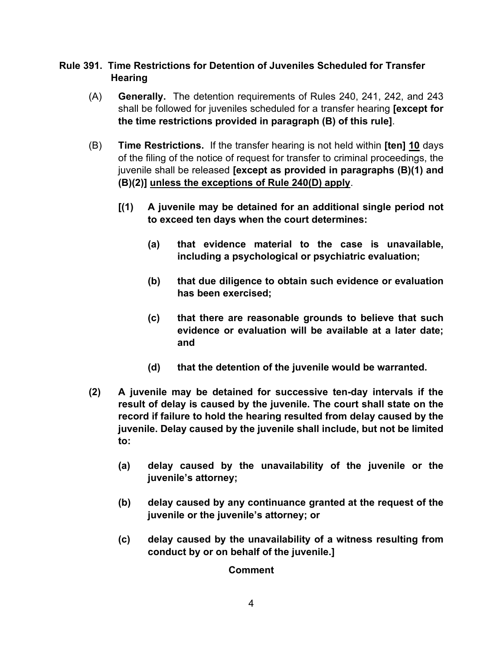### **Rule 391. Time Restrictions for Detention of Juveniles Scheduled for Transfer Hearing**

- (A) **Generally.** The detention requirements of Rules 240, 241, 242, and 243 shall be followed for juveniles scheduled for a transfer hearing **[except for the time restrictions provided in paragraph (B) of this rule]**.
- (B) **Time Restrictions.** If the transfer hearing is not held within **[ten] 10** days of the filing of the notice of request for transfer to criminal proceedings, the juvenile shall be released **[except as provided in paragraphs (B)(1) and (B)(2)] unless the exceptions of Rule 240(D) apply**.
	- **[(1) A juvenile may be detained for an additional single period not to exceed ten days when the court determines:**
		- **(a) that evidence material to the case is unavailable, including a psychological or psychiatric evaluation;**
		- **(b) that due diligence to obtain such evidence or evaluation has been exercised;**
		- **(c) that there are reasonable grounds to believe that such evidence or evaluation will be available at a later date; and**
		- **(d) that the detention of the juvenile would be warranted.**
- **(2) A juvenile may be detained for successive ten-day intervals if the result of delay is caused by the juvenile. The court shall state on the record if failure to hold the hearing resulted from delay caused by the juvenile. Delay caused by the juvenile shall include, but not be limited to:**
	- **(a) delay caused by the unavailability of the juvenile or the juvenile's attorney;**
	- **(b) delay caused by any continuance granted at the request of the juvenile or the juvenile's attorney; or**
	- **(c) delay caused by the unavailability of a witness resulting from conduct by or on behalf of the juvenile.]**

### **Comment**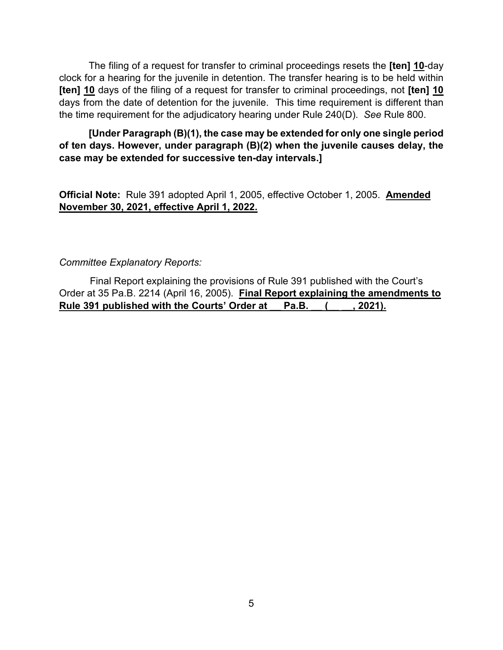The filing of a request for transfer to criminal proceedings resets the **[ten] 10**-day clock for a hearing for the juvenile in detention. The transfer hearing is to be held within **[ten] 10** days of the filing of a request for transfer to criminal proceedings, not **[ten] 10** days from the date of detention for the juvenile. This time requirement is different than the time requirement for the adjudicatory hearing under Rule 240(D). *See* Rule 800.

 **[Under Paragraph (B)(1), the case may be extended for only one single period of ten days. However, under paragraph (B)(2) when the juvenile causes delay, the case may be extended for successive ten-day intervals.]**

**Official Note:** Rule 391 adopted April 1, 2005, effective October 1, 2005. **Amended November 30, 2021, effective April 1, 2022.**

### *Committee Explanatory Reports:*

 Final Report explaining the provisions of Rule 391 published with the Court's Order at 35 Pa.B. 2214 (April 16, 2005). **Final Report explaining the amendments to**  Rule 391 published with the Courts' Order at Pa.B. (3021).